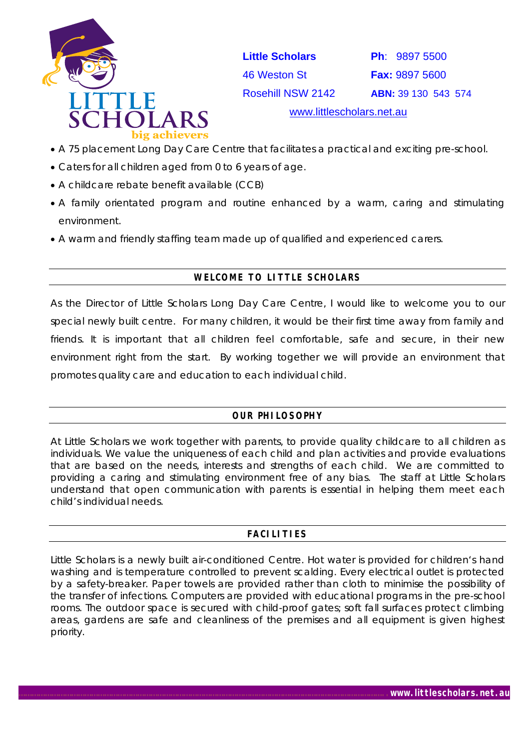

 **Little Scholars Ph**: 9897 5500 46 Weston St **Fax:** 9897 5600 Rosehill NSW 2142 **ABN:** 39 130 543 574

[www.littlescholars.net.au](http://www.littlescholars.net.au/)

- A 75 placement Long Day Care Centre that facilitates a practical and exciting pre-school.
- Caters for all children aged from 0 to 6 years of age.
- A childcare rebate benefit available (CCB)
- A family orientated program and routine enhanced by a warm, caring and stimulating environment.
- A warm and friendly staffing team made up of qualified and experienced carers.

# **WELCOME TO LITTLE SCHOLARS**

As the Director of Little Scholars Long Day Care Centre, I would like to welcome you to our special newly built centre. For many children, it would be their first time away from family and friends. It is important that all children feel comfortable, safe and secure, in their new environment right from the start. By working together we will provide an environment that promotes quality care and education to each individual child.

# **OUR PHILOSOPHY**

At Little Scholars we work together with parents, to provide quality childcare to all children as individuals. We value the uniqueness of each child and plan activities and provide evaluations that are based on the needs, interests and strengths of each child. We are committed to providing a caring and stimulating environment free of any bias. The staff at Little Scholars understand that open communication with parents is essential in helping them meet each child's individual needs.

# **FACILITIES**

Little Scholars is a newly built air-conditioned Centre. Hot water is provided for children's hand washing and is temperature controlled to prevent scalding. Every electrical outlet is protected by a safety-breaker. Paper towels are provided rather than cloth to minimise the possibility of the transfer of infections. Computers are provided with educational programs in the pre-school rooms. The outdoor space is secured with child-proof gates; soft fall surfaces protect climbing areas, gardens are safe and cleanliness of the premises and all equipment is given highest priority.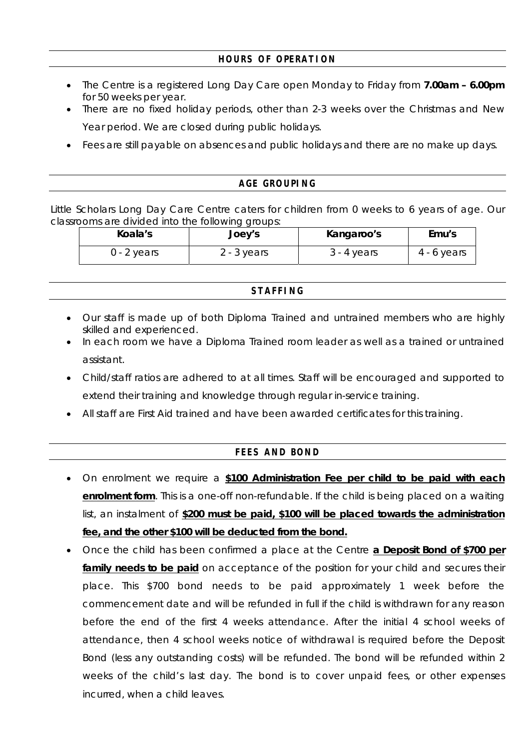### **HOURS OF OPERATION**

- The Centre is a registered Long Day Care open Monday to Friday from **7.00am 6.00pm** for 50 weeks per year.
- There are no fixed holiday periods, other than 2-3 weeks over the Christmas and New Year period. We are closed during public holidays.
- Fees are still payable on absences and public holidays and there are no make up days.

#### **AGE GROUPING**

Little Scholars Long Day Care Centre caters for children from 0 weeks to 6 years of age. Our classrooms are divided into the following groups:

| Koala's     | Joey's        | Kangaroo's    | Emu's         |
|-------------|---------------|---------------|---------------|
| 0 - 2 years | $2 - 3$ years | $3 - 4$ years | $4 - 6$ years |

#### **STAFFING**

- Our staff is made up of both Diploma Trained and untrained members who are highly skilled and experienced.
- In each room we have a Diploma Trained room leader as well as a trained or untrained assistant.
- Child/staff ratios are adhered to at all times. Staff will be encouraged and supported to extend their training and knowledge through regular in-service training.
- All staff are First Aid trained and have been awarded certificates for this training.

# **FEES AND BOND**

- On enrolment we require a **\$100 Administration Fee per child to be paid with each enrolment form**. This is a one-off non-refundable. If the child is being placed on a waiting list, an instalment of **\$200 must be paid, \$100 will be placed towards the administration fee, and the other \$100 will be deducted from the bond.**
- Once the child has been confirmed a place at the Centre **a Deposit Bond of \$700 per**  family needs to be paid on acceptance of the position for your child and secures their place. This \$700 bond needs to be paid approximately 1 week before the commencement date and will be refunded in full if the child is withdrawn for any reason before the end of the first 4 weeks attendance. After the initial 4 school weeks of attendance, then 4 school weeks notice of withdrawal is required before the Deposit Bond (less any outstanding costs) will be refunded. The bond will be refunded within 2 weeks of the child's last day. The bond is to cover unpaid fees, or other expenses incurred, when a child leaves.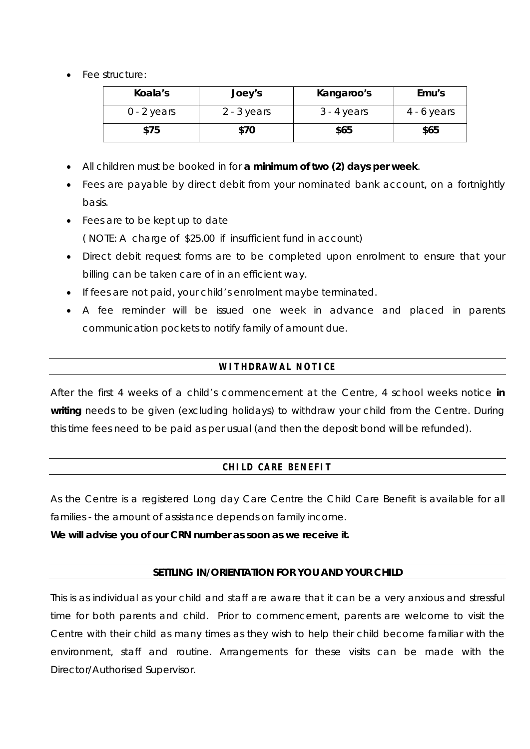• Fee structure:

| Koala's       | Joey's        | Kangaroo's    | Emu's         |
|---------------|---------------|---------------|---------------|
| $0 - 2$ years | $2 - 3$ years | $3 - 4$ years | $4 - 6$ years |
| \$75          | \$70          | \$65          | \$65          |

- All children must be booked in for **a minimum of two (2) days per week**.
- Fees are payable by direct debit from your nominated bank account, on a fortnightly basis.
- Fees are to be kept up to date ( NOTE: A charge of \$25.00 if insufficient fund in account)
- Direct debit request forms are to be completed upon enrolment to ensure that your billing can be taken care of in an efficient way.
- If fees are not paid, your child's enrolment maybe terminated.
- A fee reminder will be issued one week in advance and placed in parents communication pockets to notify family of amount due.

# **WITHDRAWAL NOTICE**

After the first 4 weeks of a child's commencement at the Centre, 4 school weeks notice **in** writing needs to be given (excluding holidays) to withdraw your child from the Centre. During this time fees need to be paid as per usual (and then the deposit bond will be refunded).

# **CHILD CARE BENEFIT**

As the Centre is a registered Long day Care Centre the Child Care Benefit is available for all families - the amount of assistance depends on family income.

**We will advise you of our CRN number as soon as we receive it.** 

#### **SETTLING IN/ORIENTATION FOR YOU AND YOUR CHILD**

This is as individual as your child and staff are aware that it can be a very anxious and stressful time for both parents and child. Prior to commencement, parents are welcome to visit the Centre with their child as many times as they wish to help their child become familiar with the environment, staff and routine. Arrangements for these visits can be made with the Director/Authorised Supervisor.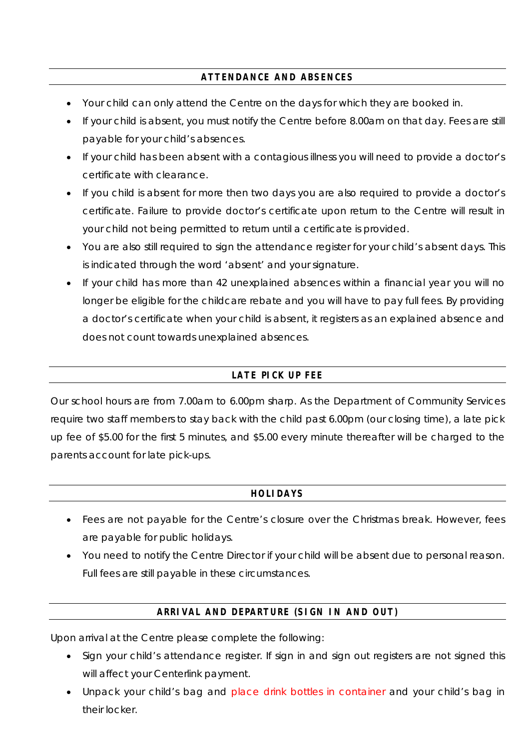# **ATTENDANCE AND ABSENCES**

- Your child can only attend the Centre on the days for which they are booked in.
- If your child is absent, you must notify the Centre before 8.00am on that day. Fees are still payable for your child's absences.
- If your child has been absent with a contagious illness you will need to provide a doctor's certificate with clearance.
- If you child is absent for more then two days you are also required to provide a doctor's certificate. Failure to provide doctor's certificate upon return to the Centre will result in your child not being permitted to return until a certificate is provided.
- You are also still required to sign the attendance register for your child's absent days. This is indicated through the word 'absent' and your signature.
- If your child has more than 42 unexplained absences within a financial year you will no longer be eligible for the childcare rebate and you will have to pay full fees. By providing a doctor's certificate when your child is absent, it registers as an explained absence and does not count towards unexplained absences.

# **LATE PICK UP FEE**

Our school hours are from 7.00am to 6.00pm sharp. As the Department of Community Services require two staff members to stay back with the child past 6.00pm (our closing time), a late pick up fee of \$5.00 for the first 5 minutes, and \$5.00 every minute thereafter will be charged to the parents account for late pick-ups.

# **HOLIDAYS**

- Fees are not payable for the Centre's closure over the Christmas break. However, fees are payable for public holidays.
- You need to notify the Centre Director if your child will be absent due to personal reason. Full fees are still payable in these circumstances.

# **ARRIVAL AND DEPARTURE (SIGN IN AND OUT)**

Upon arrival at the Centre please complete the following:

- Sign your child's attendance register. If sign in and sign out registers are not signed this will affect your Centerlink payment.
- Unpack your child's bag and place drink bottles in container and your child's bag in their locker.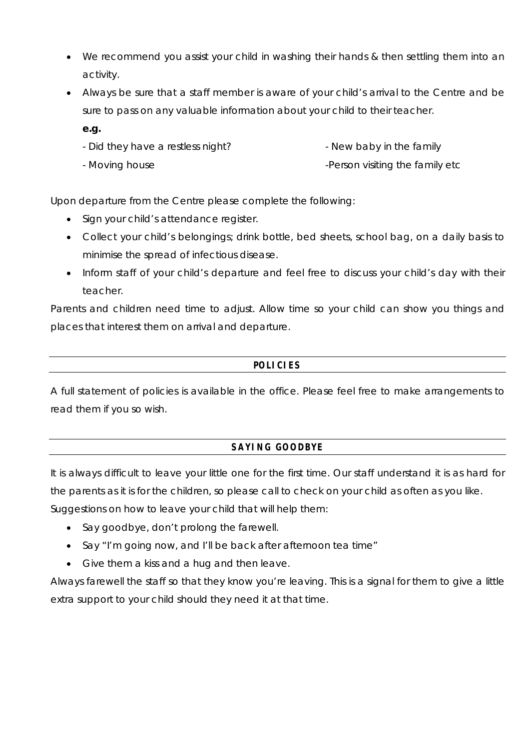- We recommend you assist your child in washing their hands & then settling them into an activity.
- Always be sure that a staff member is aware of your child's arrival to the Centre and be sure to pass on any valuable information about your child to their teacher.
	- **e.g.**
	- Did they have a restless night? - New baby in the family
	- Moving house -Person visiting the family etc

Upon departure from the Centre please complete the following:

- Sign your child's attendance register.
- Collect your child's belongings; drink bottle, bed sheets, school bag, on a daily basis to minimise the spread of infectious disease.
- Inform staff of your child's departure and feel free to discuss your child's day with their teacher.

Parents and children need time to adjust. Allow time so your child can show you things and places that interest them on arrival and departure.

# **POLICIES**

A full statement of policies is available in the office. Please feel free to make arrangements to read them if you so wish.

# **SAYING GOODBYE**

It is always difficult to leave your little one for the first time. Our staff understand it is as hard for the parents as it is for the children, so please call to check on your child as often as you like. Suggestions on how to leave your child that will help them:

- Say goodbye, don't prolong the farewell.
- Say "I'm going now, and I'll be back after afternoon tea time"
- Give them a kiss and a hug and then leave.

Always farewell the staff so that they know you're leaving. This is a signal for them to give a little extra support to your child should they need it at that time.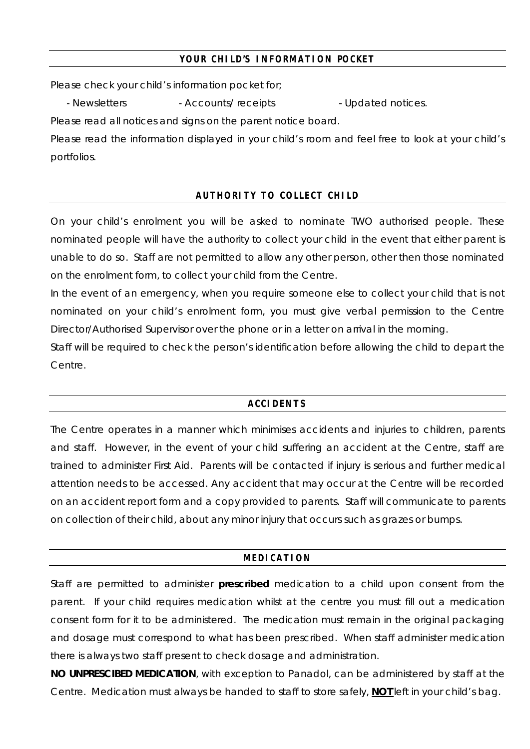### **YOUR CHILD'S INFORMATION POCKET**

Please check your child's information pocket for;

- Newsletters  $\sim$  - Accounts/ receipts  $\sim$  - Updated notices.

Please read all notices and signs on the parent notice board.

Please read the information displayed in your child's room and feel free to look at your child's portfolios.

# **AUTHORITY TO COLLECT CHILD**

On your child's enrolment you will be asked to nominate TWO authorised people. These nominated people will have the authority to collect your child in the event that either parent is unable to do so. Staff are not permitted to allow any other person, other then those nominated on the enrolment form, to collect your child from the Centre.

In the event of an emergency, when you require someone else to collect your child that is not nominated on your child's enrolment form, you must give verbal permission to the Centre Director/Authorised Supervisor over the phone or in a letter on arrival in the morning.

Staff will be required to check the person's identification before allowing the child to depart the Centre.

# **ACCIDENTS**

The Centre operates in a manner which minimises accidents and injuries to children, parents and staff. However, in the event of your child suffering an accident at the Centre, staff are trained to administer First Aid. Parents will be contacted if injury is serious and further medical attention needs to be accessed. Any accident that may occur at the Centre will be recorded on an accident report form and a copy provided to parents. Staff will communicate to parents on collection of their child, about any minor injury that occurs such as grazes or bumps.

#### **MEDICATION**

Staff are permitted to administer **prescribed** medication to a child upon consent from the parent. If your child requires medication whilst at the centre you must fill out a medication consent form for it to be administered. The medication must remain in the original packaging and dosage must correspond to what has been prescribed. When staff administer medication there is always two staff present to check dosage and administration.

**NO UNPRESCIBED MEDICATION**, with exception to Panadol, can be administered by staff at the Centre. Medication must always be handed to staff to store safely, **NOT** left in your child's bag.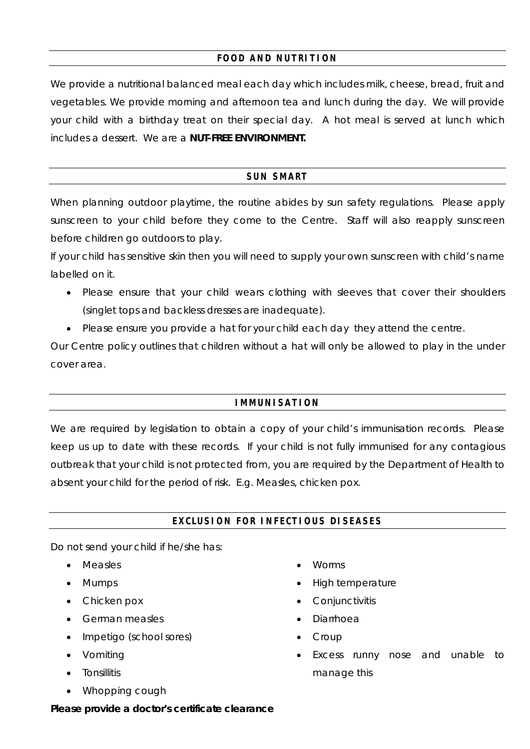# **FOOD AND NUTRITION**

We provide a nutritional balanced meal each day which includes milk, cheese, bread, fruit and vegetables. We provide morning and afternoon tea and lunch during the day. We will provide your child with a birthday treat on their special day. A hot meal is served at lunch which includes a dessert. We are a **NUT-FREE ENVIRONMENT.** 

# **SUN SMART**

When planning outdoor playtime, the routine abides by sun safety regulations. Please apply sunscreen to your child before they come to the Centre. Staff will also reapply sunscreen before children go outdoors to play.

If your child has sensitive skin then you will need to supply your own sunscreen with child's name labelled on it.

- Please ensure that your child wears clothing with sleeves that cover their shoulders (singlet tops and backless dresses are inadequate).
- Please ensure you provide a hat for your child each day they attend the centre.

Our Centre policy outlines that children without a hat will only be allowed to play in the under cover area.

# **IMMUNISATION**

We are required by legislation to obtain a copy of your child's immunisation records. Please keep us up to date with these records. If your child is not fully immunised for any contagious outbreak that your child is not protected from, you are required by the Department of Health to absent your child for the period of risk. E.g. Measles, chicken pox.

# **EXCLUSION FOR INFECTIOUS DISEASES**

Do not send your child if he/she has:

- Measles
- Mumps
- Chicken pox
- German measles
- Impetigo (school sores)
- Vomiting
- Tonsillitis
- Whopping cough
- Worms
- High temperature
- **Conjunctivitis**
- Diarrhoea
- **Croup**
- Excess runny nose and unable to manage this

*Please provide a doctor's certificate clearance*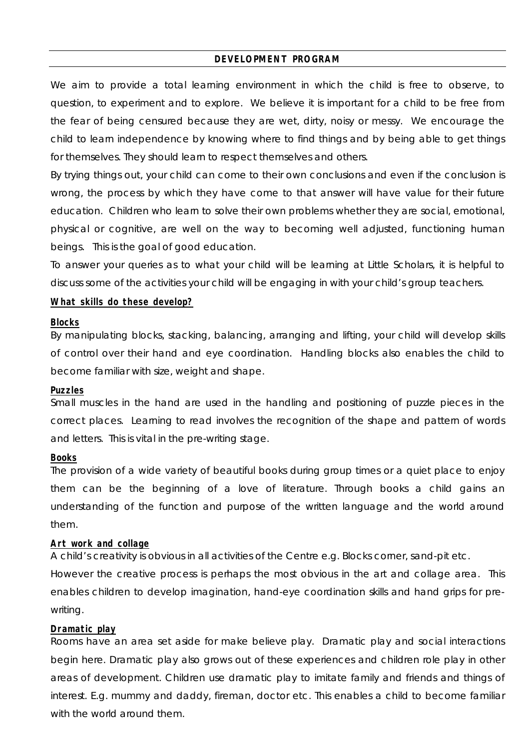#### **DEVELOPMENT PROGRAM**

We aim to provide a total learning environment in which the child is free to observe, to question, to experiment and to explore. We believe it is important for a child to be free from the fear of being censured because they are wet, dirty, noisy or messy. We encourage the child to learn independence by knowing where to find things and by being able to get things for themselves. They should learn to respect themselves and others.

By trying things out, your child can come to their own conclusions and even if the conclusion is wrong, the process by which they have come to that answer will have value for their future education. Children who learn to solve their own problems whether they are social, emotional, physical or cognitive, are well on the way to becoming well adjusted, functioning human beings. This is the goal of good education.

To answer your queries as to what your child will be learning at Little Scholars, it is helpful to discuss some of the activities your child will be engaging in with your child's group teachers.

#### **What skills do these develop?**

#### **Blocks**

By manipulating blocks, stacking, balancing, arranging and lifting, your child will develop skills of control over their hand and eye coordination. Handling blocks also enables the child to become familiar with size, weight and shape.

#### **Puzzles**

Small muscles in the hand are used in the handling and positioning of puzzle pieces in the correct places. Learning to read involves the recognition of the shape and pattern of words and letters. This is vital in the pre-writing stage.

#### **Books**

The provision of a wide variety of beautiful books during group times or a quiet place to enjoy them can be the beginning of a love of literature. Through books a child gains an understanding of the function and purpose of the written language and the world around them.

#### **Art work and collage**

A child's creativity is obvious in all activities of the Centre e.g. Blocks corner, sand-pit etc.

However the creative process is perhaps the most obvious in the art and collage area. This enables children to develop imagination, hand-eye coordination skills and hand grips for prewriting.

#### **Dramatic play**

Rooms have an area set aside for make believe play. Dramatic play and social interactions begin here. Dramatic play also grows out of these experiences and children role play in other areas of development. Children use dramatic play to imitate family and friends and things of interest. E.g. mummy and daddy, fireman, doctor etc. This enables a child to become familiar with the world around them.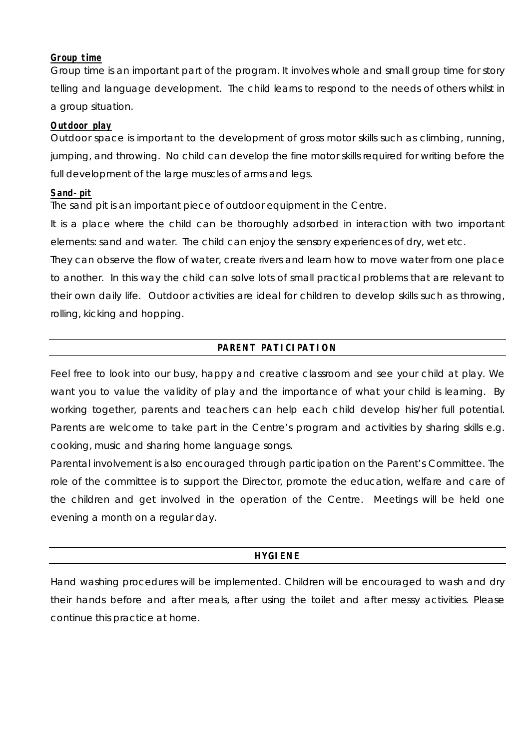#### **Group time**

Group time is an important part of the program. It involves whole and small group time for story telling and language development. The child learns to respond to the needs of others whilst in a group situation.

### **Outdoor play**

Outdoor space is important to the development of gross motor skills such as climbing, running, jumping, and throwing. No child can develop the fine motor skills required for writing before the full development of the large muscles of arms and legs.

# **Sand-pit**

The sand pit is an important piece of outdoor equipment in the Centre.

It is a place where the child can be thoroughly adsorbed in interaction with two important elements: sand and water. The child can enjoy the sensory experiences of dry, wet etc.

They can observe the flow of water, create rivers and learn how to move water from one place to another. In this way the child can solve lots of small practical problems that are relevant to their own daily life. Outdoor activities are ideal for children to develop skills such as throwing, rolling, kicking and hopping.

# **PARENT PATICIPATION**

Feel free to look into our busy, happy and creative classroom and see your child at play. We want you to value the validity of play and the importance of what your child is learning. By working together, parents and teachers can help each child develop his/her full potential. Parents are welcome to take part in the Centre's program and activities by sharing skills e.g. cooking, music and sharing home language songs.

Parental involvement is also encouraged through participation on the Parent's Committee. The role of the committee is to support the Director, promote the education, welfare and care of the children and get involved in the operation of the Centre. Meetings will be held one evening a month on a regular day.

# **HYGIENE**

Hand washing procedures will be implemented. Children will be encouraged to wash and dry their hands before and after meals, after using the toilet and after messy activities. Please continue this practice at home.